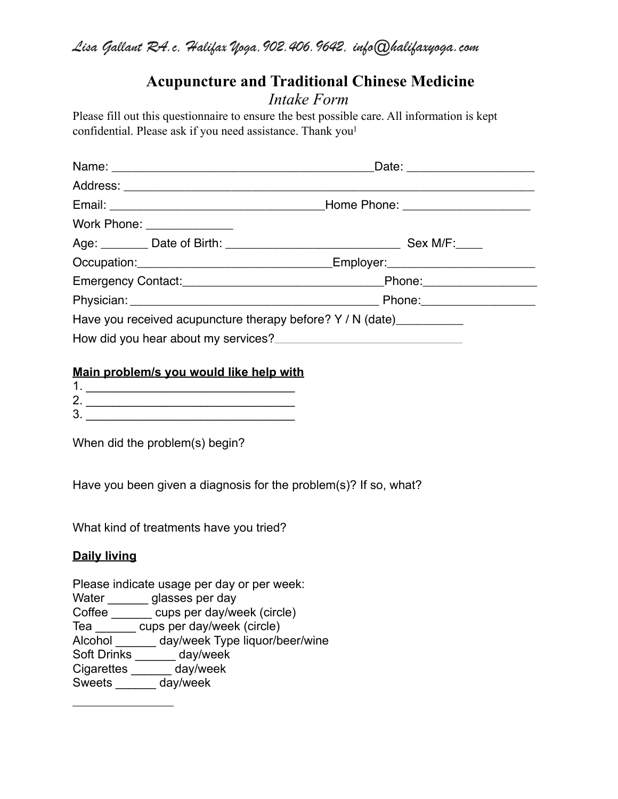# **Acupuncture and Traditional Chinese Medicine** *Intake Form*

Please fill out this questionnaire to ensure the best possible care. All information is kept confidential. Please ask if you need assistance. Thank you<sup>1</sup>

|  |                            | Date: ________________________                                        |  |  |  |  |  |
|--|----------------------------|-----------------------------------------------------------------------|--|--|--|--|--|
|  |                            |                                                                       |  |  |  |  |  |
|  |                            |                                                                       |  |  |  |  |  |
|  | Work Phone: ______________ |                                                                       |  |  |  |  |  |
|  |                            |                                                                       |  |  |  |  |  |
|  |                            |                                                                       |  |  |  |  |  |
|  |                            |                                                                       |  |  |  |  |  |
|  |                            |                                                                       |  |  |  |  |  |
|  |                            | Have you received acupuncture therapy before? Y / N (date)___________ |  |  |  |  |  |
|  |                            |                                                                       |  |  |  |  |  |

### **Main problem/s you would like help with**

| ╭          |  |
|------------|--|
| $\sqrt{2}$ |  |

When did the problem(s) begin?

Have you been given a diagnosis for the problem(s)? If so, what?

What kind of treatments have you tried?

### **Daily living**

Please indicate usage per day or per week:

Water \_\_\_\_\_\_\_ glasses per day

Coffee \_\_\_\_\_\_\_\_ cups per day/week (circle)

Tea \_\_\_\_\_\_ cups per day/week (circle)

Alcohol \_\_\_\_\_\_ day/week Type liquor/beer/wine

Soft Drinks \_\_\_\_\_\_ day/week

Cigarettes \_\_\_\_\_\_ day/week

Sweets \_\_\_\_\_\_ day/week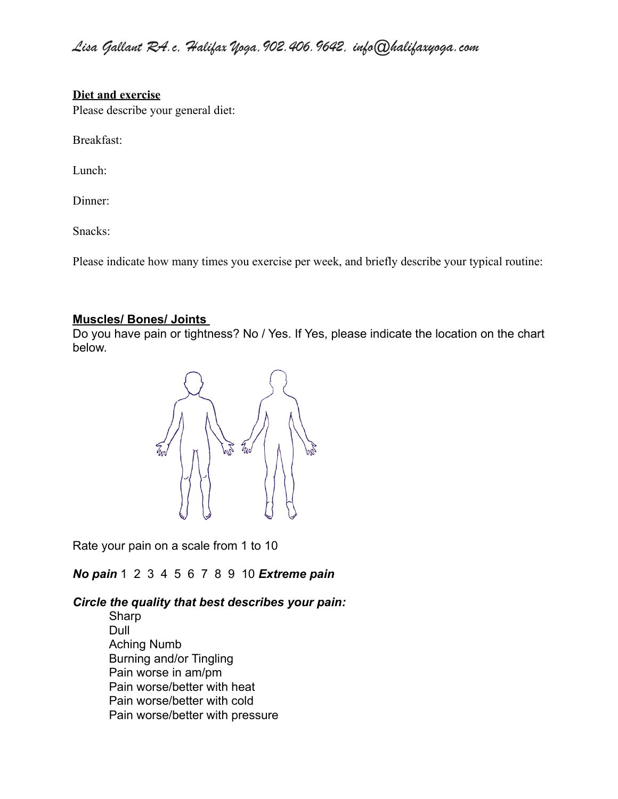### **Diet and exercise**

Please describe your general diet:

Breakfast:

Lunch:

Dinner:

Snacks:

Please indicate how many times you exercise per week, and briefly describe your typical routine:

### **Muscles/ Bones/ Joints**

Do you have pain or tightness? No / Yes. If Yes, please indicate the location on the chart below.



Rate your pain on a scale from 1 to 10

*No pain* 1 2 3 4 5 6 7 8 9 10 *Extreme pain*

### *Circle the quality that best describes your pain:*

Sharp Dull Aching Numb Burning and/or Tingling Pain worse in am/pm Pain worse/better with heat Pain worse/better with cold Pain worse/better with pressure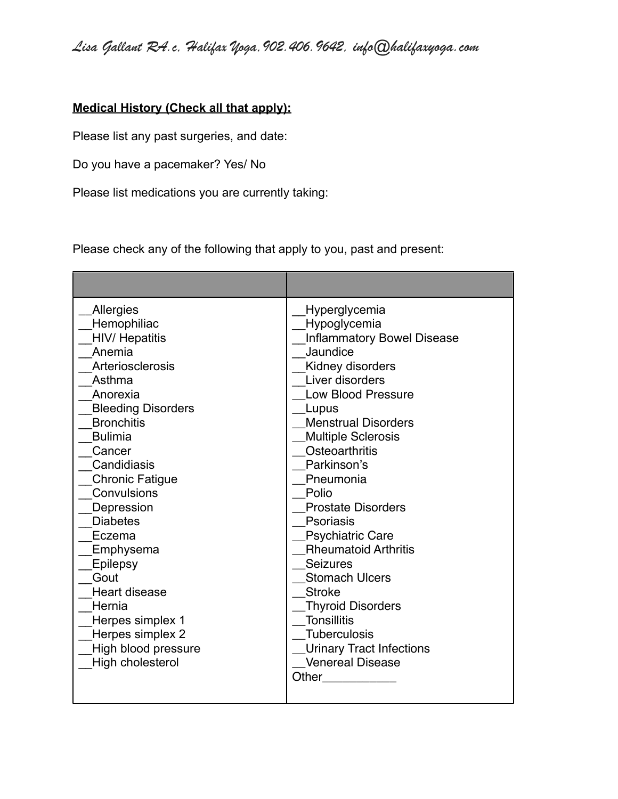## **Medical History (Check all that apply):**

Please list any past surgeries, and date:

Do you have a pacemaker? Yes/ No

Please list medications you are currently taking:

Please check any of the following that apply to you, past and present:

| Allergies<br>Hemophiliac<br><b>HIV/ Hepatitis</b><br>Anemia<br>Arteriosclerosis<br>Asthma<br>Anorexia<br><b>Bleeding Disorders</b><br><b>Bronchitis</b><br><b>Bulimia</b><br>Cancer<br>Candidiasis<br><b>Chronic Fatigue</b><br>Convulsions<br>Depression<br><b>Diabetes</b><br>Eczema<br>Emphysema<br>Epilepsy<br>Gout<br><b>Heart disease</b><br>Hernia<br>Herpes simplex 1<br>Herpes simplex 2<br>High blood pressure<br>High cholesterol | Hyperglycemia<br>Hypoglycemia<br><b>Inflammatory Bowel Disease</b><br>Jaundice<br>Kidney disorders<br>Liver disorders<br><b>Low Blood Pressure</b><br>Lupus<br><b>Menstrual Disorders</b><br><b>Multiple Sclerosis</b><br>Osteoarthritis<br>Parkinson's<br>Pneumonia<br>Polio<br><b>Prostate Disorders</b><br><b>Psoriasis</b><br><b>Psychiatric Care</b><br><b>Rheumatoid Arthritis</b><br><b>Seizures</b><br><b>Stomach Ulcers</b><br><b>Stroke</b><br><b>Thyroid Disorders</b><br><b>Tonsillitis</b><br><b>Tuberculosis</b><br><b>Urinary Tract Infections</b><br><b>Venereal Disease</b><br>Other |
|----------------------------------------------------------------------------------------------------------------------------------------------------------------------------------------------------------------------------------------------------------------------------------------------------------------------------------------------------------------------------------------------------------------------------------------------|-------------------------------------------------------------------------------------------------------------------------------------------------------------------------------------------------------------------------------------------------------------------------------------------------------------------------------------------------------------------------------------------------------------------------------------------------------------------------------------------------------------------------------------------------------------------------------------------------------|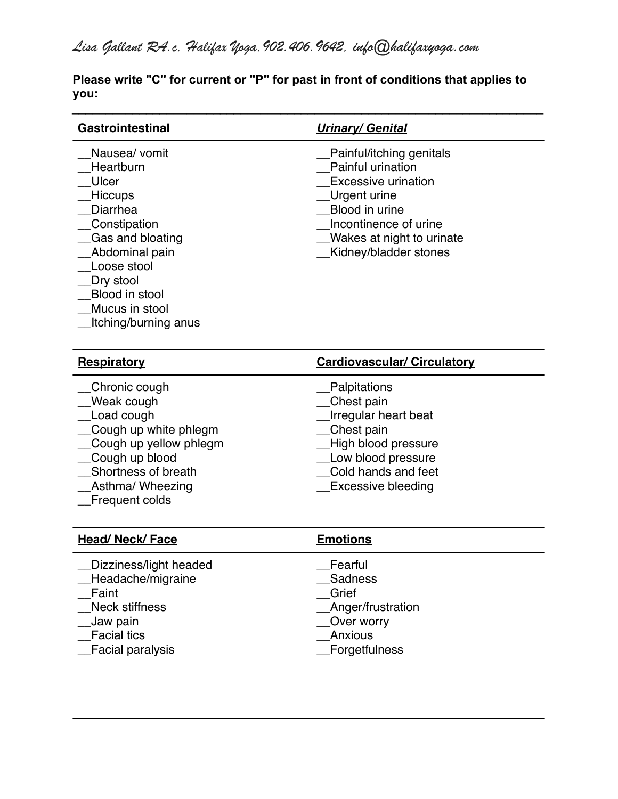**Please write "C" for current or "P" for past in front of conditions that applies to you:**

*\_\_\_\_\_\_\_\_\_\_\_\_\_\_\_\_\_\_\_\_\_\_\_\_\_\_\_\_\_\_\_\_\_\_\_\_\_\_\_\_\_\_\_\_\_\_\_\_\_\_\_\_\_\_\_\_\_\_\_\_\_\_\_\_\_\_\_\_\_\_*

| Gastrointestinal                                                                                                                                                                                         | <b>Urinary/ Genital</b>                                                                                                                                                                             |  |  |  |  |  |
|----------------------------------------------------------------------------------------------------------------------------------------------------------------------------------------------------------|-----------------------------------------------------------------------------------------------------------------------------------------------------------------------------------------------------|--|--|--|--|--|
| Nausea/ vomit<br>Heartburn<br>Ulcer<br>Hiccups<br>Diarrhea<br>Constipation<br>Gas and bloating<br>Abdominal pain<br>Loose stool<br>Dry stool<br>Blood in stool<br>Mucus in stool<br>Itching/burning anus | Painful/itching genitals<br>Painful urination<br><b>Excessive urination</b><br>Urgent urine<br>Blood in urine<br>Incontinence of urine<br><b>Wakes at night to urinate</b><br>Kidney/bladder stones |  |  |  |  |  |
| <b>Respiratory</b>                                                                                                                                                                                       | <b>Cardiovascular/ Circulatory</b>                                                                                                                                                                  |  |  |  |  |  |
| Chronic cough<br><b>Weak cough</b><br>Load cough<br>Cough up white phlegm<br>Cough up yellow phlegm<br>Cough up blood<br>Shortness of breath<br>Asthma/ Wheezing<br>Frequent colds                       | Palpitations<br>Chest pain<br><b>Irregular heart beat</b><br>Chest pain<br>High blood pressure<br>Low blood pressure<br>Cold hands and feet<br><b>Excessive bleeding</b>                            |  |  |  |  |  |
| <b>Head/ Neck/ Face</b>                                                                                                                                                                                  | <b>Emotions</b>                                                                                                                                                                                     |  |  |  |  |  |
| Dizziness/light headed<br>Headache/migraine<br>Faint<br><b>Neck stiffness</b><br>Jaw pain<br><b>Facial tics</b><br><b>Facial paralysis</b>                                                               | Fearful<br>Sadness<br>Grief<br>Anger/frustration<br>Over worry<br><b>Anxious</b><br>Forgetfulness                                                                                                   |  |  |  |  |  |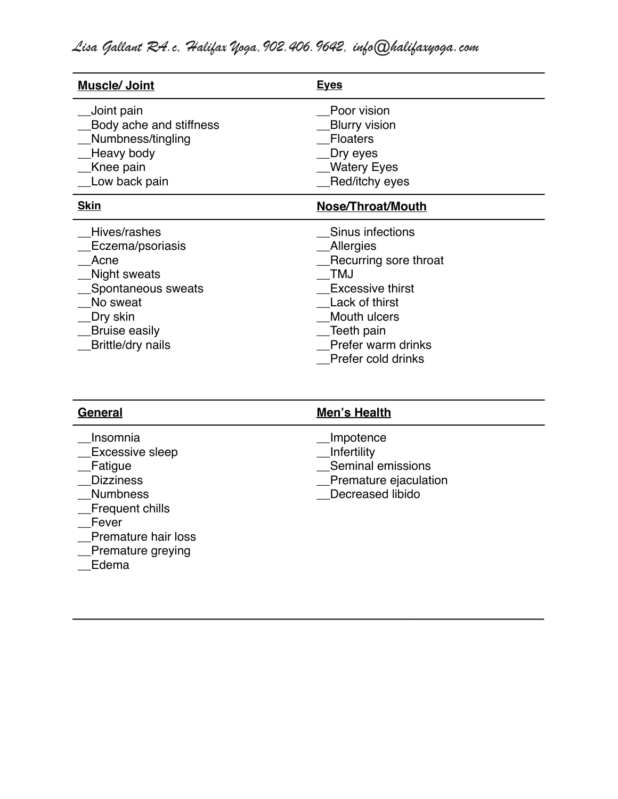| <b>Muscle/ Joint</b>                                                                                                                                       | <b>Eyes</b>                                                                                                                                                                                        |
|------------------------------------------------------------------------------------------------------------------------------------------------------------|----------------------------------------------------------------------------------------------------------------------------------------------------------------------------------------------------|
| Joint pain<br>Body ache and stiffness<br>Numbness/tingling<br>Heavy body<br>Knee pain<br>Low back pain                                                     | Poor vision<br><b>Blurry vision</b><br><b>Floaters</b><br>Dry eyes<br><b>Watery Eyes</b><br>Red/itchy eyes                                                                                         |
| <b>Skin</b>                                                                                                                                                | Nose/Throat/Mouth                                                                                                                                                                                  |
| Hives/rashes<br>Eczema/psoriasis<br>Acne<br>Night sweats<br>Spontaneous sweats<br>No sweat<br>Dry skin<br><b>Bruise easily</b><br><b>Brittle/dry nails</b> | Sinus infections<br><b>Allergies</b><br>Recurring sore throat<br><b>TMJ</b><br><b>Excessive thirst</b><br>Lack of thirst<br>Mouth ulcers<br>Teeth pain<br>Prefer warm drinks<br>Prefer cold drinks |

| General                                                                                                                                                                         | Men's Health                                                                               |  |  |  |  |
|---------------------------------------------------------------------------------------------------------------------------------------------------------------------------------|--------------------------------------------------------------------------------------------|--|--|--|--|
| Insomnia<br><b>Excessive sleep</b><br>Fatigue<br><b>Dizziness</b><br><b>Numbness</b><br>Frequent chills<br>Fever<br><b>Premature hair loss</b><br>_Premature greying<br>Ealemen | Impotence<br>Infertility<br>Seminal emissions<br>Premature ejaculation<br>Decreased libido |  |  |  |  |
|                                                                                                                                                                                 |                                                                                            |  |  |  |  |

*\_\_\_\_\_\_\_\_\_\_\_\_\_\_\_\_\_\_\_\_\_\_\_\_\_\_\_\_\_\_\_\_\_\_\_\_\_\_\_\_\_\_\_\_\_\_\_\_\_\_\_\_\_\_\_\_\_\_\_\_\_\_\_\_\_\_\_\_\_\_*

\_\_Edema